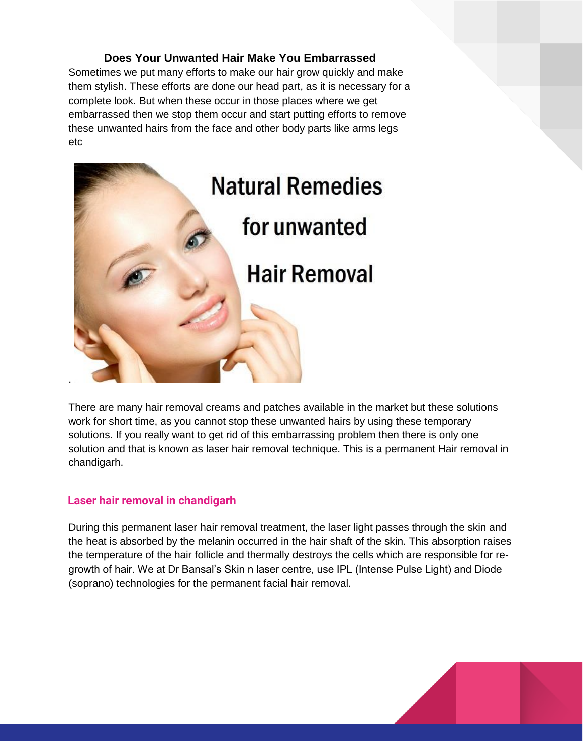## **Does Your Unwanted Hair Make You Embarrassed**

Sometimes we put many efforts to make our hair grow quickly and make them stylish. These efforts are done our head part, as it is necessary for a complete look. But when these occur in those places where we get embarrassed then we stop them occur and start putting efforts to remove these unwanted hairs from the face and other body parts like arms legs etc



There are many hair removal creams and patches available in the market but these solutions work for short time, as you cannot stop these unwanted hairs by using these temporary solutions. If you really want to get rid of this embarrassing problem then there is only one solution and that is known as laser hair removal technique. This is a permanent Hair removal in chandigarh.

## Laser hair removal in chandigarh

During this permanent laser hair removal treatment, the laser light passes through the skin and the heat is absorbed by the melanin occurred in the hair shaft of the skin. This absorption raises the temperature of the hair follicle and thermally destroys the cells which are responsible for regrowth of hair. We at Dr Bansal's Skin n laser centre, use IPL (Intense Pulse Light) and Diode (soprano) technologies for the permanent facial hair removal.